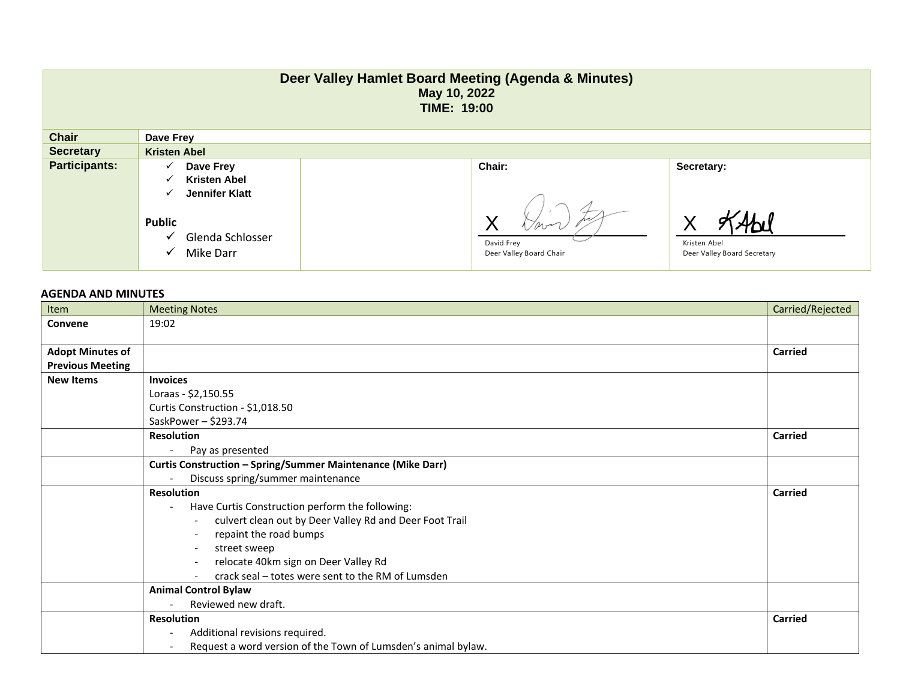| Deer Valley Hamlet Board Meeting (Agenda & Minutes)<br>May 10, 2022<br><b>TIME: 19:00</b> |                                                                                 |                                       |                                             |  |  |  |
|-------------------------------------------------------------------------------------------|---------------------------------------------------------------------------------|---------------------------------------|---------------------------------------------|--|--|--|
| <b>Chair</b>                                                                              | Dave Frey                                                                       |                                       |                                             |  |  |  |
| <b>Secretary</b>                                                                          | <b>Kristen Abel</b>                                                             |                                       |                                             |  |  |  |
| <b>Participants:</b>                                                                      | Dave Frey<br>✓                                                                  | Chair:                                | Secretary:                                  |  |  |  |
|                                                                                           | <b>Kristen Abel</b><br>✓                                                        |                                       |                                             |  |  |  |
|                                                                                           | Jennifer Klatt<br>✓<br><b>Public</b><br>Glenda Schlosser<br>✓<br>Mike Darr<br>✓ | David Frey<br>Deer Valley Board Chair | Kristen Abel<br>Deer Valley Board Secretary |  |  |  |

## **AGENDA AND MINUTES**

| Item                    | <b>Meeting Notes</b>                                               | Carried/Rejected |
|-------------------------|--------------------------------------------------------------------|------------------|
| Convene                 | 19:02                                                              |                  |
|                         |                                                                    |                  |
| <b>Adopt Minutes of</b> |                                                                    | <b>Carried</b>   |
| <b>Previous Meeting</b> |                                                                    |                  |
| <b>New Items</b>        | <b>Invoices</b>                                                    |                  |
|                         | Loraas - \$2,150.55                                                |                  |
|                         | Curtis Construction - \$1,018.50                                   |                  |
|                         | SaskPower-\$293.74                                                 |                  |
|                         | <b>Resolution</b>                                                  | <b>Carried</b>   |
|                         | Pay as presented                                                   |                  |
|                         | <b>Curtis Construction - Spring/Summer Maintenance (Mike Darr)</b> |                  |
|                         | Discuss spring/summer maintenance                                  |                  |
|                         | <b>Resolution</b>                                                  | Carried          |
|                         | Have Curtis Construction perform the following:                    |                  |
|                         | culvert clean out by Deer Valley Rd and Deer Foot Trail<br>$-$     |                  |
|                         | repaint the road bumps                                             |                  |
|                         | street sweep                                                       |                  |
|                         | relocate 40km sign on Deer Valley Rd                               |                  |
|                         | crack seal – totes were sent to the RM of Lumsden                  |                  |
|                         | <b>Animal Control Bylaw</b>                                        |                  |
|                         | Reviewed new draft.                                                |                  |
|                         | <b>Resolution</b>                                                  | <b>Carried</b>   |
|                         | Additional revisions required.                                     |                  |
|                         | Request a word version of the Town of Lumsden's animal bylaw.      |                  |